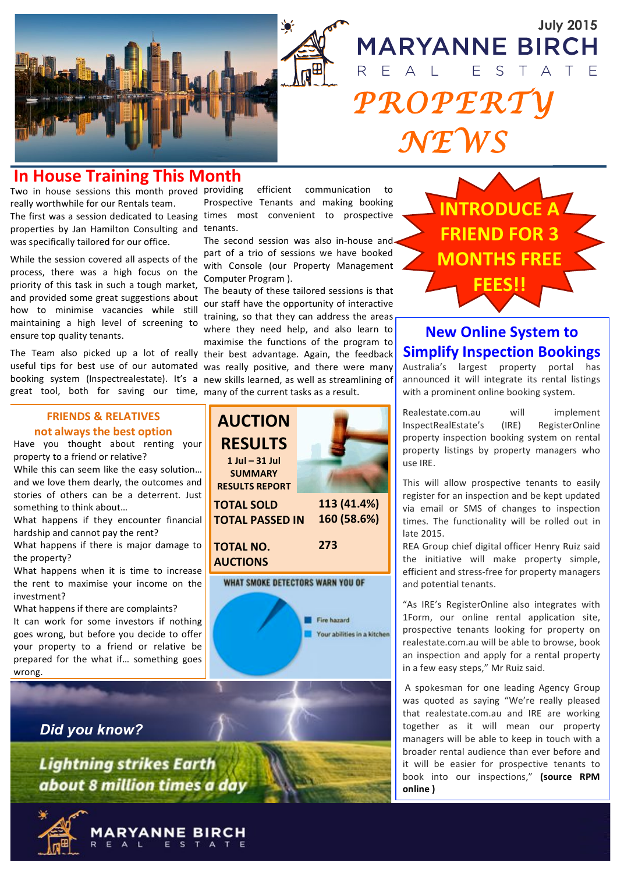

# E  $\overline{S}$ *OPERT NEWS*

**MARYANNE BIRCH** 

#### **In House Training This Month**

Two in house sessions this month proved providing really worthwhile for our Rentals team.

The first was a session dedicated to Leasing properties by Jan Hamilton Consulting and tenants. was specifically tailored for our office.

While the session covered all aspects of the process, there was a high focus on the priority of this task in such a tough market, and provided some great suggestions about how to minimise vacancies while still maintaining a high level of screening to ensure top quality tenants.

The Team also picked up a lot of really their best advantage. Again, the feedback useful tips for best use of our automated was really positive, and there were many booking system (Inspectrealestate). It's a new skills learned, as well as streamlining of great tool, both for saving our time, many of the current tasks as a result.

#### **FRIENDS & RELATIVES not always the best option**

Have you thought about renting your property to a friend or relative?

While this can seem like the easy solution... and we love them dearly, the outcomes and stories of others can be a deterrent. Just something to think about...

What happens if they encounter financial hardship and cannot pay the rent?

What happens if there is major damage to the property?

What happens when it is time to increase the rent to maximise your income on the investment?

What happens if there are complaints?

It can work for some investors if nothing goes wrong, but before you decide to offer your property to a friend or relative be prepared for the what if... something goes wrong.

*Did you know?*

**Lightning strikes Earth** about 8 million times a day



efficient communication to Prospective Tenants and making booking times most convenient to prospective

The second session was also in-house and part of a trio of sessions we have booked with Console (our Property Management Computer Program ).

The beauty of these tailored sessions is that our staff have the opportunity of interactive training, so that they can address the areas where they need help, and also learn to maximise the functions of the program to





### **New Online System to Simplify Inspection Bookings**

Australia's largest property portal has announced it will integrate its rental listings with a prominent online booking system.

Realestate.com.au will implement InspectRealEstate's! (IRE)! RegisterOnline! property inspection booking system on rental property listings by property managers who use IRE.

This will allow prospective tenants to easily register for an inspection and be kept updated via email or SMS of changes to inspection times. The functionality will be rolled out in late 2015.

REA Group chief digital officer Henry Ruiz said the initiative will make property simple, efficient and stress-free for property managers and potential tenants.

"As IRE's RegisterOnline also integrates with 1Form, our online rental application site, prospective tenants looking for property on realestate.com.au will be able to browse, book an inspection and apply for a rental property in a few easy steps," Mr Ruiz said.

A spokesman for one leading Agency Group was quoted as saying "We're really pleased that realestate.com.au and IRE are working together as it will mean our property managers will be able to keep in touch with a broader rental audience than ever before and it will be easier for prospective tenants to book into our inspections," (source RPM **online#)**